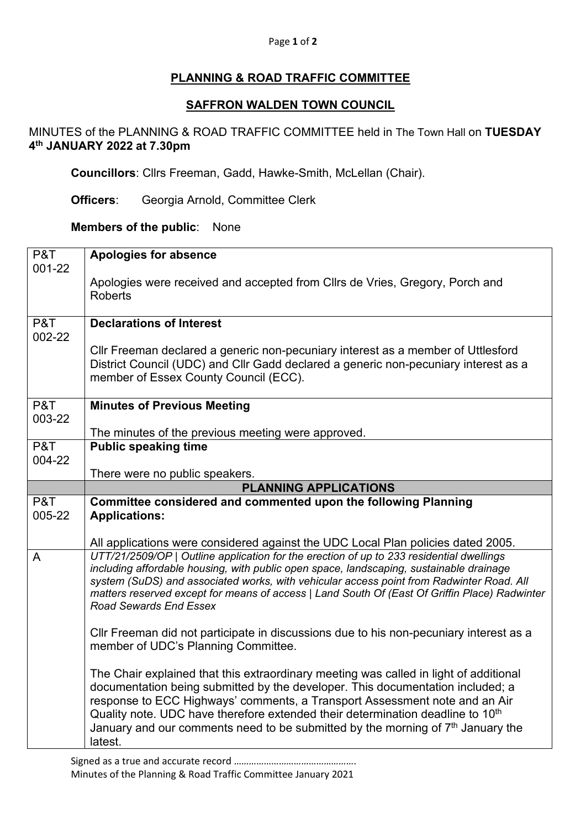#### Page **1** of **2**

# **PLANNING & ROAD TRAFFIC COMMITTEE**

### **SAFFRON WALDEN TOWN COUNCIL**

# MINUTES of the PLANNING & ROAD TRAFFIC COMMITTEE held in The Town Hall on **TUESDAY 4th JANUARY 2022 at 7.30pm**

**Councillors**: Cllrs Freeman, Gadd, Hawke-Smith, McLellan (Chair).

**Officers**: Georgia Arnold, Committee Clerk

## **Members of the public**: None

| P&T           | <b>Apologies for absence</b>                                                                                                                                                 |
|---------------|------------------------------------------------------------------------------------------------------------------------------------------------------------------------------|
| 001-22        | Apologies were received and accepted from Cllrs de Vries, Gregory, Porch and                                                                                                 |
|               | <b>Roberts</b>                                                                                                                                                               |
|               |                                                                                                                                                                              |
| P&T<br>002-22 | <b>Declarations of Interest</b>                                                                                                                                              |
|               | CIIr Freeman declared a generic non-pecuniary interest as a member of Uttlesford                                                                                             |
|               | District Council (UDC) and Cllr Gadd declared a generic non-pecuniary interest as a<br>member of Essex County Council (ECC).                                                 |
|               |                                                                                                                                                                              |
| P&T           | <b>Minutes of Previous Meeting</b>                                                                                                                                           |
| 003-22        |                                                                                                                                                                              |
| P&T           | The minutes of the previous meeting were approved.<br><b>Public speaking time</b>                                                                                            |
| 004-22        |                                                                                                                                                                              |
|               | There were no public speakers.                                                                                                                                               |
|               | <b>PLANNING APPLICATIONS</b>                                                                                                                                                 |
| P&T           | Committee considered and commented upon the following Planning                                                                                                               |
| 005-22        | <b>Applications:</b>                                                                                                                                                         |
|               |                                                                                                                                                                              |
|               | All applications were considered against the UDC Local Plan policies dated 2005.<br>UTT/21/2509/OP   Outline application for the erection of up to 233 residential dwellings |
| A             | including affordable housing, with public open space, landscaping, sustainable drainage                                                                                      |
|               | system (SuDS) and associated works, with vehicular access point from Radwinter Road. All                                                                                     |
|               | matters reserved except for means of access   Land South Of (East Of Griffin Place) Radwinter                                                                                |
|               | <b>Road Sewards End Essex</b>                                                                                                                                                |
|               | CIIr Freeman did not participate in discussions due to his non-pecuniary interest as a                                                                                       |
|               | member of UDC's Planning Committee.                                                                                                                                          |
|               | The Chair explained that this extraordinary meeting was called in light of additional                                                                                        |
|               | documentation being submitted by the developer. This documentation included; a                                                                                               |
|               | response to ECC Highways' comments, a Transport Assessment note and an Air                                                                                                   |
|               | Quality note. UDC have therefore extended their determination deadline to 10 <sup>th</sup>                                                                                   |
|               |                                                                                                                                                                              |
|               | January and our comments need to be submitted by the morning of $7th$ January the<br>latest.                                                                                 |

Signed as a true and accurate record …………………………………………. Minutes of the Planning & Road Traffic Committee January 2021